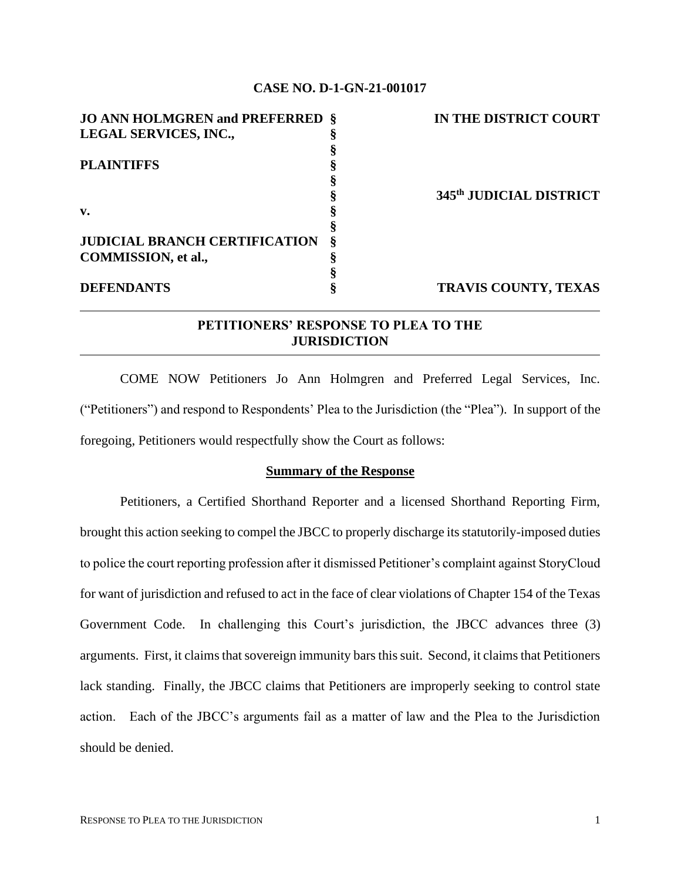### **CASE NO. D-1-GN-21-001017**

| <b>JO ANN HOLMGREN and PREFERRED §</b> | IN THE DISTRICT COURT       |
|----------------------------------------|-----------------------------|
| LEGAL SERVICES, INC.,                  |                             |
|                                        |                             |
| <b>PLAINTIFFS</b>                      |                             |
|                                        |                             |
|                                        | 345th JUDICIAL DISTRICT     |
| v.                                     |                             |
|                                        |                             |
| <b>JUDICIAL BRANCH CERTIFICATION</b>   |                             |
| COMMISSION, et al.,                    |                             |
|                                        |                             |
| <b>DEFENDANTS</b>                      | <b>TRAVIS COUNTY, TEXAS</b> |

# **PETITIONERS' RESPONSE TO PLEA TO THE JURISDICTION**

COME NOW Petitioners Jo Ann Holmgren and Preferred Legal Services, Inc. ("Petitioners") and respond to Respondents' Plea to the Jurisdiction (the "Plea"). In support of the foregoing, Petitioners would respectfully show the Court as follows:

### **Summary of the Response**

Petitioners, a Certified Shorthand Reporter and a licensed Shorthand Reporting Firm, brought this action seeking to compel the JBCC to properly discharge its statutorily-imposed duties to police the court reporting profession after it dismissed Petitioner's complaint against StoryCloud for want of jurisdiction and refused to act in the face of clear violations of Chapter 154 of the Texas Government Code. In challenging this Court's jurisdiction, the JBCC advances three (3) arguments. First, it claims that sovereign immunity bars this suit. Second, it claims that Petitioners lack standing. Finally, the JBCC claims that Petitioners are improperly seeking to control state action. Each of the JBCC's arguments fail as a matter of law and the Plea to the Jurisdiction should be denied.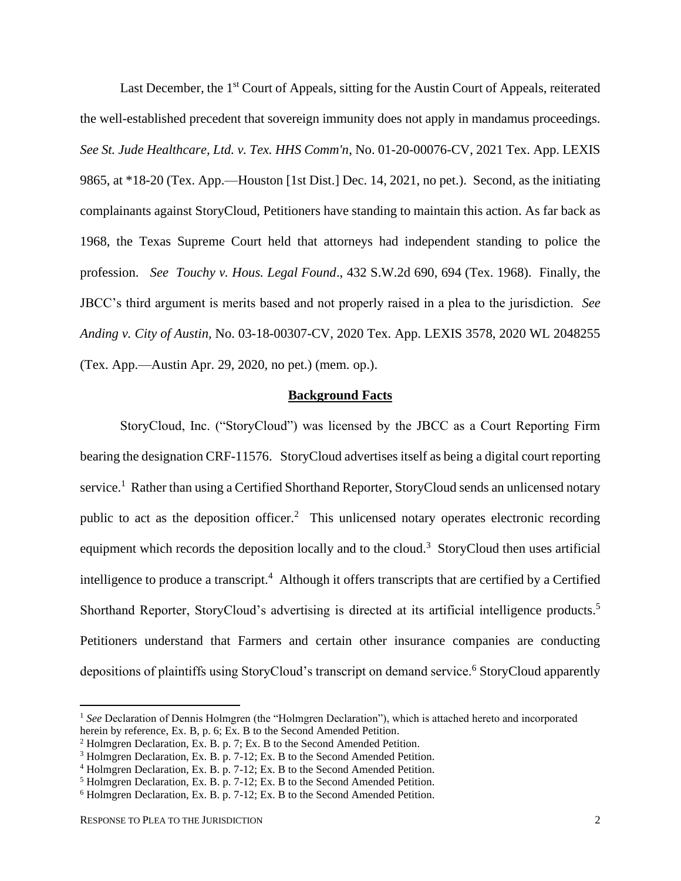Last December, the 1<sup>st</sup> Court of Appeals, sitting for the Austin Court of Appeals, reiterated the well-established precedent that sovereign immunity does not apply in mandamus proceedings. *See St. Jude Healthcare, Ltd. v. Tex. HHS Comm'n*, No. 01-20-00076-CV, 2021 Tex. App. LEXIS 9865, at \*18-20 (Tex. App.—Houston [1st Dist.] Dec. 14, 2021, no pet.). Second, as the initiating complainants against StoryCloud, Petitioners have standing to maintain this action. As far back as 1968, the Texas Supreme Court held that attorneys had independent standing to police the profession. *See Touchy v. Hous. Legal Found*., 432 S.W.2d 690, 694 (Tex. 1968). Finally, the JBCC's third argument is merits based and not properly raised in a plea to the jurisdiction. *See Anding v. City of Austin,* No. 03-18-00307-CV, 2020 Tex. App. LEXIS 3578, 2020 WL 2048255 (Tex. App.—Austin Apr. 29, 2020, no pet.) (mem. op.).

### **Background Facts**

StoryCloud, Inc. ("StoryCloud") was licensed by the JBCC as a Court Reporting Firm bearing the designation CRF-11576. StoryCloud advertises itself as being a digital court reporting service.<sup>1</sup> Rather than using a Certified Shorthand Reporter, StoryCloud sends an unlicensed notary public to act as the deposition officer.<sup>2</sup> This unlicensed notary operates electronic recording equipment which records the deposition locally and to the cloud.<sup>3</sup> StoryCloud then uses artificial intelligence to produce a transcript.<sup>4</sup> Although it offers transcripts that are certified by a Certified Shorthand Reporter, StoryCloud's advertising is directed at its artificial intelligence products.<sup>5</sup> Petitioners understand that Farmers and certain other insurance companies are conducting depositions of plaintiffs using StoryCloud's transcript on demand service.<sup>6</sup> StoryCloud apparently

<sup>&</sup>lt;sup>1</sup> See Declaration of Dennis Holmgren (the "Holmgren Declaration"), which is attached hereto and incorporated herein by reference, Ex. B, p. 6; Ex. B to the Second Amended Petition.

<sup>2</sup> Holmgren Declaration, Ex. B. p. 7; Ex. B to the Second Amended Petition.

<sup>&</sup>lt;sup>3</sup> Holmgren Declaration, Ex. B. p. 7-12; Ex. B to the Second Amended Petition.

<sup>4</sup> Holmgren Declaration, Ex. B. p. 7-12; Ex. B to the Second Amended Petition.

<sup>5</sup> Holmgren Declaration, Ex. B. p. 7-12; Ex. B to the Second Amended Petition.

<sup>&</sup>lt;sup>6</sup> Holmgren Declaration, Ex. B. p. 7-12; Ex. B to the Second Amended Petition.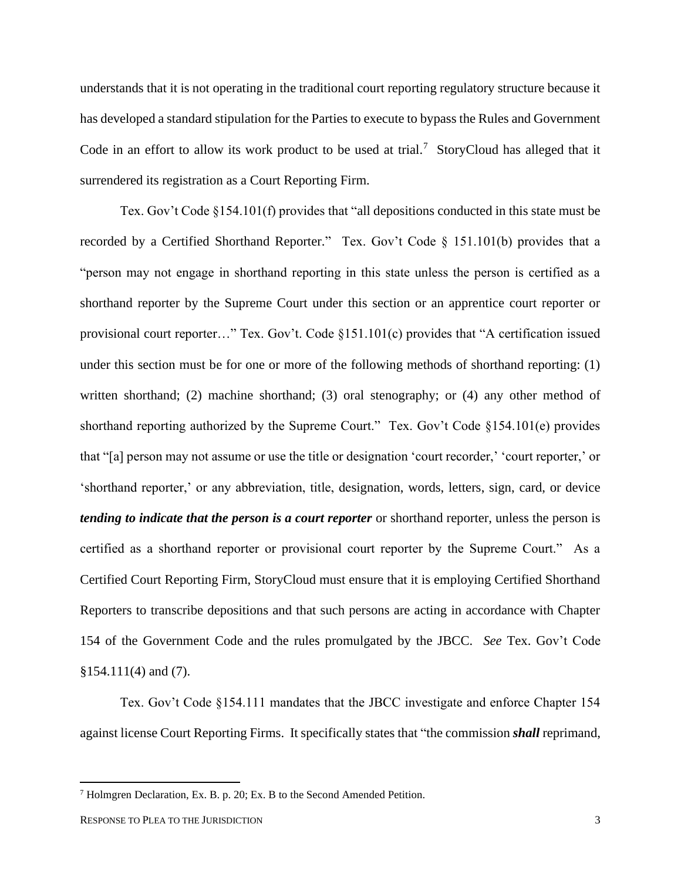understands that it is not operating in the traditional court reporting regulatory structure because it has developed a standard stipulation for the Parties to execute to bypass the Rules and Government Code in an effort to allow its work product to be used at trial.<sup>7</sup> StoryCloud has alleged that it surrendered its registration as a Court Reporting Firm.

Tex. Gov't Code §154.101(f) provides that "all depositions conducted in this state must be recorded by a Certified Shorthand Reporter." Tex. Gov't Code § 151.101(b) provides that a "person may not engage in shorthand reporting in this state unless the person is certified as a shorthand reporter by the Supreme Court under this section or an apprentice court reporter or provisional court reporter…" Tex. Gov't. Code §151.101(c) provides that "A certification issued under this section must be for one or more of the following methods of shorthand reporting: (1) written shorthand; (2) machine shorthand; (3) oral stenography; or (4) any other method of shorthand reporting authorized by the Supreme Court." Tex. Gov't Code §154.101(e) provides that "[a] person may not assume or use the title or designation 'court recorder,' 'court reporter,' or 'shorthand reporter,' or any abbreviation, title, designation, words, letters, sign, card, or device *tending to indicate that the person is a court reporter* or shorthand reporter, unless the person is certified as a shorthand reporter or provisional court reporter by the Supreme Court." As a Certified Court Reporting Firm, StoryCloud must ensure that it is employing Certified Shorthand Reporters to transcribe depositions and that such persons are acting in accordance with Chapter 154 of the Government Code and the rules promulgated by the JBCC. *See* Tex. Gov't Code §154.111(4) and (7).

Tex. Gov't Code §154.111 mandates that the JBCC investigate and enforce Chapter 154 against license Court Reporting Firms. It specifically states that "the commission *shall* reprimand,

<sup>7</sup> Holmgren Declaration, Ex. B. p. 20; Ex. B to the Second Amended Petition.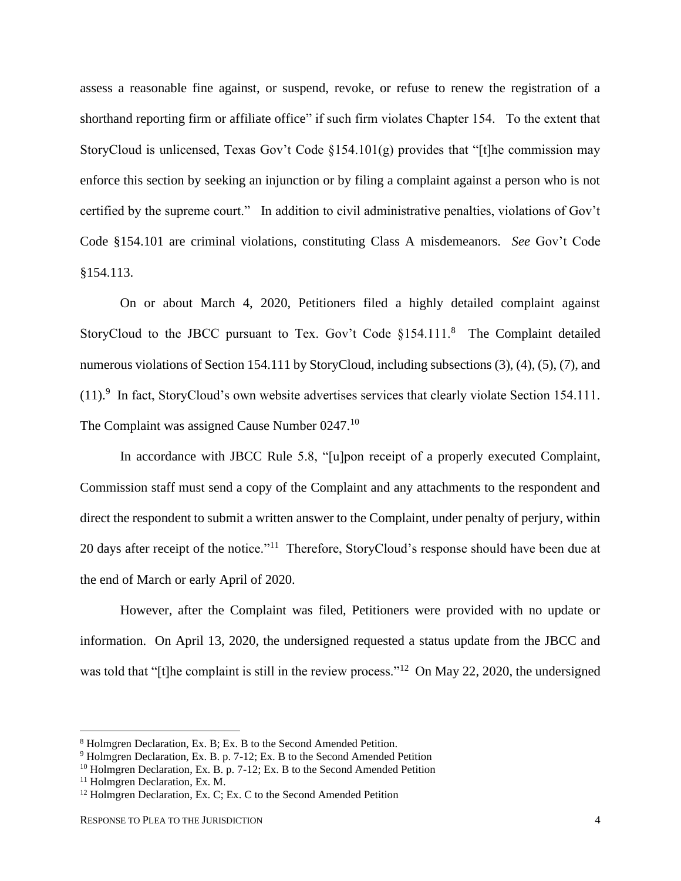assess a reasonable fine against, or suspend, revoke, or refuse to renew the registration of a shorthand reporting firm or affiliate office" if such firm violates Chapter 154. To the extent that StoryCloud is unlicensed, Texas Gov't Code  $\S 154.101(g)$  provides that "[t]he commission may enforce this section by seeking an injunction or by filing a complaint against a person who is not certified by the supreme court." In addition to civil administrative penalties, violations of Gov't Code §154.101 are criminal violations, constituting Class A misdemeanors. *See* Gov't Code §154.113.

On or about March 4, 2020, Petitioners filed a highly detailed complaint against StoryCloud to the JBCC pursuant to Tex. Gov't Code  $§154.111$ .<sup>8</sup> The Complaint detailed numerous violations of Section 154.111 by StoryCloud, including subsections (3), (4), (5), (7), and  $(11).$ <sup>9</sup> In fact, StoryCloud's own website advertises services that clearly violate Section 154.111. The Complaint was assigned Cause Number 0247.<sup>10</sup>

In accordance with JBCC Rule 5.8, "[u]pon receipt of a properly executed Complaint, Commission staff must send a copy of the Complaint and any attachments to the respondent and direct the respondent to submit a written answer to the Complaint, under penalty of perjury, within 20 days after receipt of the notice."<sup>11</sup> Therefore, StoryCloud's response should have been due at the end of March or early April of 2020.

However, after the Complaint was filed, Petitioners were provided with no update or information. On April 13, 2020, the undersigned requested a status update from the JBCC and was told that "[t]he complaint is still in the review process."<sup>12</sup> On May 22, 2020, the undersigned

<sup>8</sup> Holmgren Declaration, Ex. B; Ex. B to the Second Amended Petition.

<sup>&</sup>lt;sup>9</sup> Holmgren Declaration, Ex. B. p. 7-12; Ex. B to the Second Amended Petition

<sup>&</sup>lt;sup>10</sup> Holmgren Declaration, Ex. B. p. 7-12; Ex. B to the Second Amended Petition

<sup>11</sup> Holmgren Declaration, Ex. M.

 $12$  Holmgren Declaration, Ex. C; Ex. C to the Second Amended Petition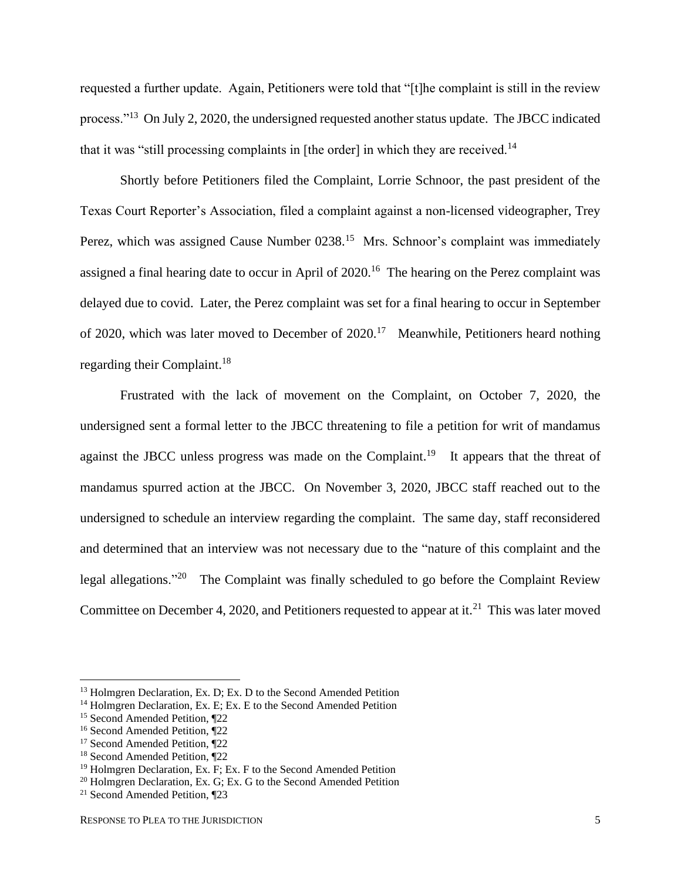requested a further update. Again, Petitioners were told that "[t]he complaint is still in the review process."<sup>13</sup> On July 2, 2020, the undersigned requested another status update. The JBCC indicated that it was "still processing complaints in [the order] in which they are received.<sup>14</sup>

Shortly before Petitioners filed the Complaint, Lorrie Schnoor, the past president of the Texas Court Reporter's Association, filed a complaint against a non-licensed videographer, Trey Perez, which was assigned Cause Number 0238.<sup>15</sup> Mrs. Schnoor's complaint was immediately assigned a final hearing date to occur in April of 2020.<sup>16</sup> The hearing on the Perez complaint was delayed due to covid. Later, the Perez complaint was set for a final hearing to occur in September of 2020, which was later moved to December of  $2020$ .<sup>17</sup> Meanwhile, Petitioners heard nothing regarding their Complaint.<sup>18</sup>

Frustrated with the lack of movement on the Complaint, on October 7, 2020, the undersigned sent a formal letter to the JBCC threatening to file a petition for writ of mandamus against the JBCC unless progress was made on the Complaint.<sup>19</sup> It appears that the threat of mandamus spurred action at the JBCC. On November 3, 2020, JBCC staff reached out to the undersigned to schedule an interview regarding the complaint. The same day, staff reconsidered and determined that an interview was not necessary due to the "nature of this complaint and the legal allegations."<sup>20</sup> The Complaint was finally scheduled to go before the Complaint Review Committee on December 4, 2020, and Petitioners requested to appear at it.<sup>21</sup> This was later moved

<sup>&</sup>lt;sup>13</sup> Holmgren Declaration, Ex. D; Ex. D to the Second Amended Petition

<sup>&</sup>lt;sup>14</sup> Holmgren Declaration, Ex. E; Ex. E to the Second Amended Petition

<sup>&</sup>lt;sup>15</sup> Second Amended Petition, ¶22

<sup>16</sup> Second Amended Petition, ¶22

<sup>17</sup> Second Amended Petition, ¶22

<sup>18</sup> Second Amended Petition, ¶22

<sup>&</sup>lt;sup>19</sup> Holmgren Declaration, Ex. F; Ex. F to the Second Amended Petition

<sup>&</sup>lt;sup>20</sup> Holmgren Declaration, Ex. G; Ex. G to the Second Amended Petition

<sup>21</sup> Second Amended Petition, ¶23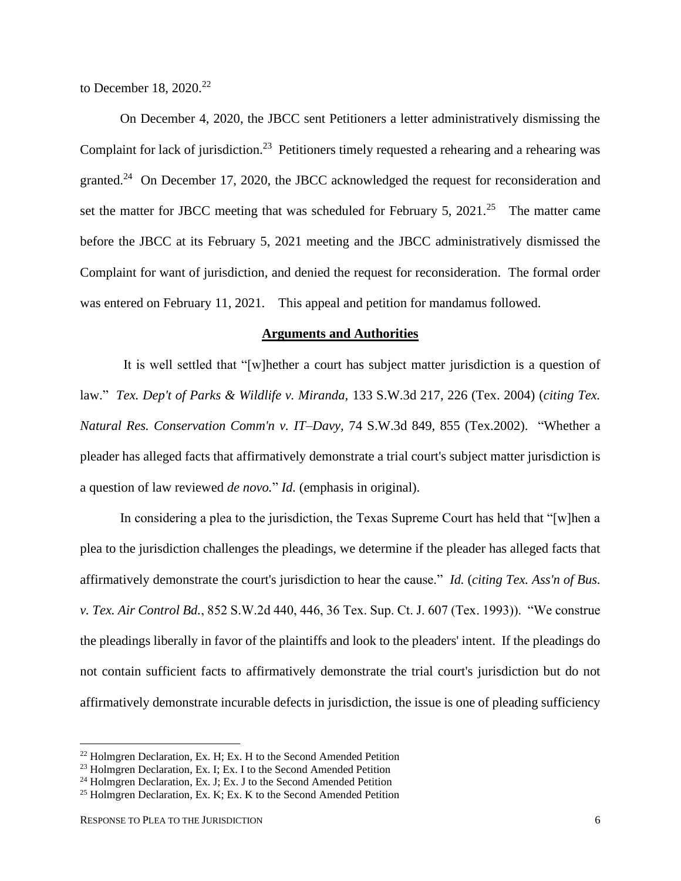to December 18, 2020.<sup>22</sup>

On December 4, 2020, the JBCC sent Petitioners a letter administratively dismissing the Complaint for lack of jurisdiction.<sup>23</sup> Petitioners timely requested a rehearing and a rehearing was granted.<sup>24</sup> On December 17, 2020, the JBCC acknowledged the request for reconsideration and set the matter for JBCC meeting that was scheduled for February 5, 2021.<sup>25</sup> The matter came before the JBCC at its February 5, 2021 meeting and the JBCC administratively dismissed the Complaint for want of jurisdiction, and denied the request for reconsideration. The formal order was entered on February 11, 2021. This appeal and petition for mandamus followed.

## **Arguments and Authorities**

It is well settled that "[w]hether a court has subject matter jurisdiction is a question of law." *Tex. Dep't of Parks & Wildlife v. Miranda,* 133 S.W.3d 217, 226 (Tex. 2004) (*citing Tex. Natural Res. Conservation Comm'n v. IT–Davy,* 74 S.W.3d 849, 855 (Tex.2002). "Whether a pleader has alleged facts that affirmatively demonstrate a trial court's subject matter jurisdiction is a question of law reviewed *de novo.*" *Id.* (emphasis in original).

In considering a plea to the jurisdiction, the Texas Supreme Court has held that "[w]hen a plea to the jurisdiction challenges the pleadings, we determine if the pleader has alleged facts that affirmatively demonstrate the court's jurisdiction to hear the cause." *Id.* (*citing Tex. Ass'n of Bus. v. Tex. Air Control Bd.*, 852 S.W.2d 440, 446, 36 Tex. Sup. Ct. J. 607 (Tex. 1993)). "We construe the pleadings liberally in favor of the plaintiffs and look to the pleaders' intent. If the pleadings do not contain sufficient facts to affirmatively demonstrate the trial court's jurisdiction but do not affirmatively demonstrate incurable defects in jurisdiction, the issue is one of pleading sufficiency

 $22$  Holmgren Declaration, Ex. H; Ex. H to the Second Amended Petition

<sup>&</sup>lt;sup>23</sup> Holmgren Declaration, Ex. I; Ex. I to the Second Amended Petition

<sup>&</sup>lt;sup>24</sup> Holmgren Declaration, Ex. J; Ex. J to the Second Amended Petition

<sup>&</sup>lt;sup>25</sup> Holmgren Declaration, Ex. K; Ex. K to the Second Amended Petition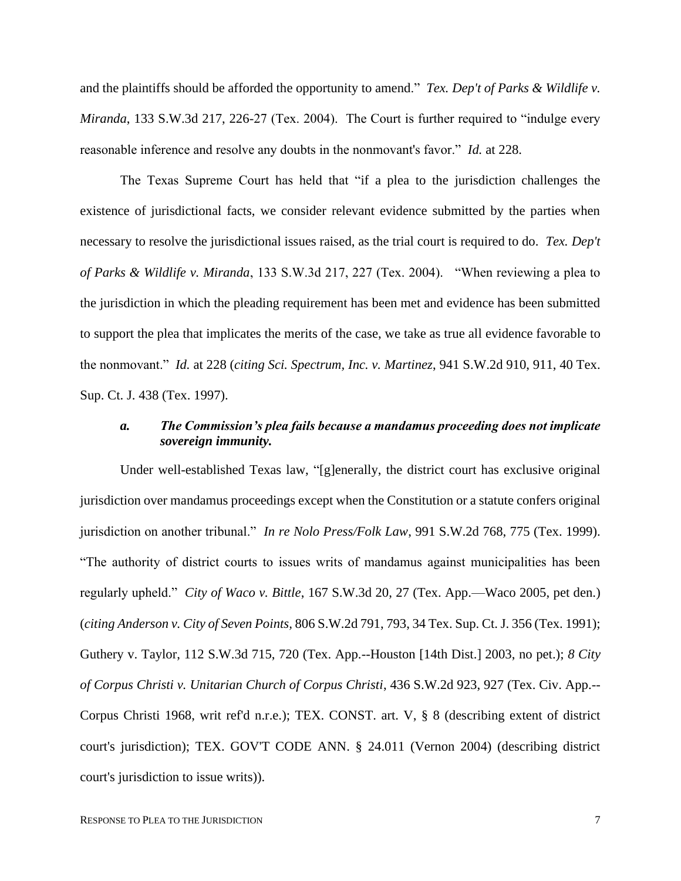and the plaintiffs should be afforded the opportunity to amend." *Tex. Dep't of Parks & Wildlife v. Miranda*, 133 S.W.3d 217, 226-27 (Tex. 2004). The Court is further required to "indulge every reasonable inference and resolve any doubts in the nonmovant's favor." *Id.* at 228.

The Texas Supreme Court has held that "if a plea to the jurisdiction challenges the existence of jurisdictional facts, we consider relevant evidence submitted by the parties when necessary to resolve the jurisdictional issues raised, as the trial court is required to do. *Tex. Dep't of Parks & Wildlife v. Miranda*, 133 S.W.3d 217, 227 (Tex. 2004). "When reviewing a plea to the jurisdiction in which the pleading requirement has been met and evidence has been submitted to support the plea that implicates the merits of the case, we take as true all evidence favorable to the nonmovant." *Id.* at 228 (*citing Sci. Spectrum, Inc. v. Martinez*, 941 S.W.2d 910, 911, 40 Tex. Sup. Ct. J. 438 (Tex. 1997).

## *a. The Commission's plea fails because a mandamus proceeding does not implicate sovereign immunity.*

Under well-established Texas law, "[g]enerally, the district court has exclusive original jurisdiction over mandamus proceedings except when the Constitution or a statute confers original jurisdiction on another tribunal." *In re Nolo Press/Folk Law*, 991 S.W.2d 768, 775 (Tex. 1999). "The authority of district courts to issues writs of mandamus against municipalities has been regularly upheld." *City of Waco v. Bittle*, 167 S.W.3d 20, 27 (Tex. App.—Waco 2005, pet den.) (*citing Anderson v. City of Seven Points,* 806 S.W.2d 791, 793, 34 Tex. Sup. Ct. J. 356 (Tex. 1991); Guthery v. Taylor, 112 S.W.3d 715, 720 (Tex. App.--Houston [14th Dist.] 2003, no pet.); *8 City of Corpus Christi v. Unitarian Church of Corpus Christi*, 436 S.W.2d 923, 927 (Tex. Civ. App.-- Corpus Christi 1968, writ ref'd n.r.e.); TEX. CONST. art. V, § 8 (describing extent of district court's jurisdiction); TEX. GOV'T CODE ANN. § 24.011 (Vernon 2004) (describing district court's jurisdiction to issue writs)).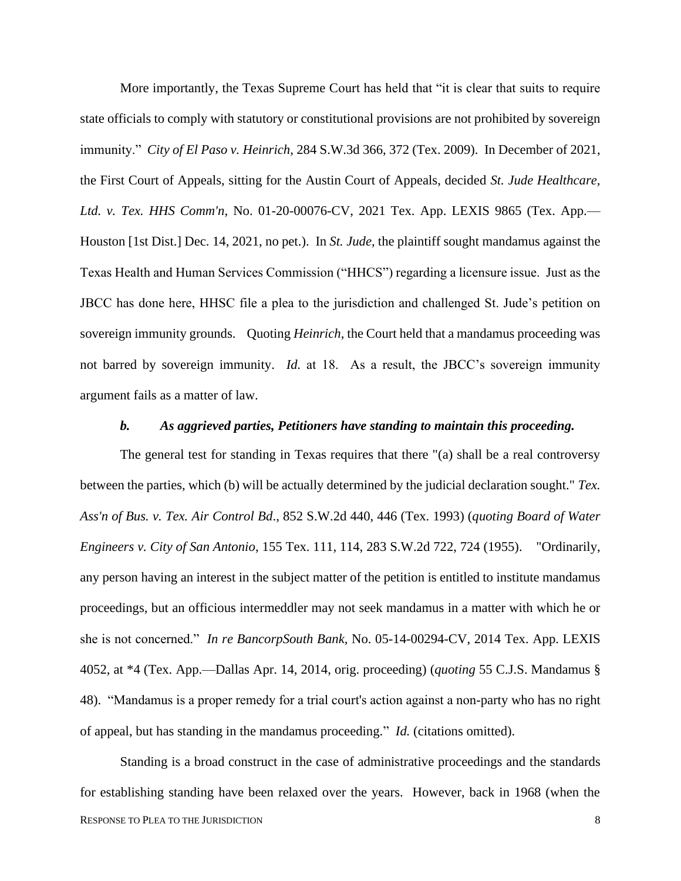More importantly, the Texas Supreme Court has held that "it is clear that suits to require state officials to comply with statutory or constitutional provisions are not prohibited by sovereign immunity." *City of El Paso v. Heinrich*, 284 S.W.3d 366, 372 (Tex. 2009). In December of 2021, the First Court of Appeals, sitting for the Austin Court of Appeals, decided *St. Jude Healthcare, Ltd. v. Tex. HHS Comm'n*, No. 01-20-00076-CV, 2021 Tex. App. LEXIS 9865 (Tex. App.— Houston [1st Dist.] Dec. 14, 2021, no pet.). In *St. Jude*, the plaintiff sought mandamus against the Texas Health and Human Services Commission ("HHCS") regarding a licensure issue. Just as the JBCC has done here, HHSC file a plea to the jurisdiction and challenged St. Jude's petition on sovereign immunity grounds. Quoting *Heinrich*, the Court held that a mandamus proceeding was not barred by sovereign immunity. *Id.* at 18. As a result, the JBCC's sovereign immunity argument fails as a matter of law.

#### *b. As aggrieved parties, Petitioners have standing to maintain this proceeding.*

The general test for standing in Texas requires that there "(a) shall be a real controversy between the parties, which (b) will be actually determined by the judicial declaration sought." *Tex. Ass'n of Bus. v. Tex. Air Control Bd*., 852 S.W.2d 440, 446 (Tex. 1993) (*quoting Board of Water Engineers v. City of San Antonio*, 155 Tex. 111, 114, 283 S.W.2d 722, 724 (1955). "Ordinarily, any person having an interest in the subject matter of the petition is entitled to institute mandamus proceedings, but an officious intermeddler may not seek mandamus in a matter with which he or she is not concerned." *In re BancorpSouth Bank*, No. 05-14-00294-CV, 2014 Tex. App. LEXIS 4052, at \*4 (Tex. App.—Dallas Apr. 14, 2014, orig. proceeding) (*quoting* 55 C.J.S. Mandamus § 48). "Mandamus is a proper remedy for a trial court's action against a non-party who has no right of appeal, but has standing in the mandamus proceeding." *Id.* (citations omitted).

RESPONSE TO PLEA TO THE JURISDICTION 8 Standing is a broad construct in the case of administrative proceedings and the standards for establishing standing have been relaxed over the years. However, back in 1968 (when the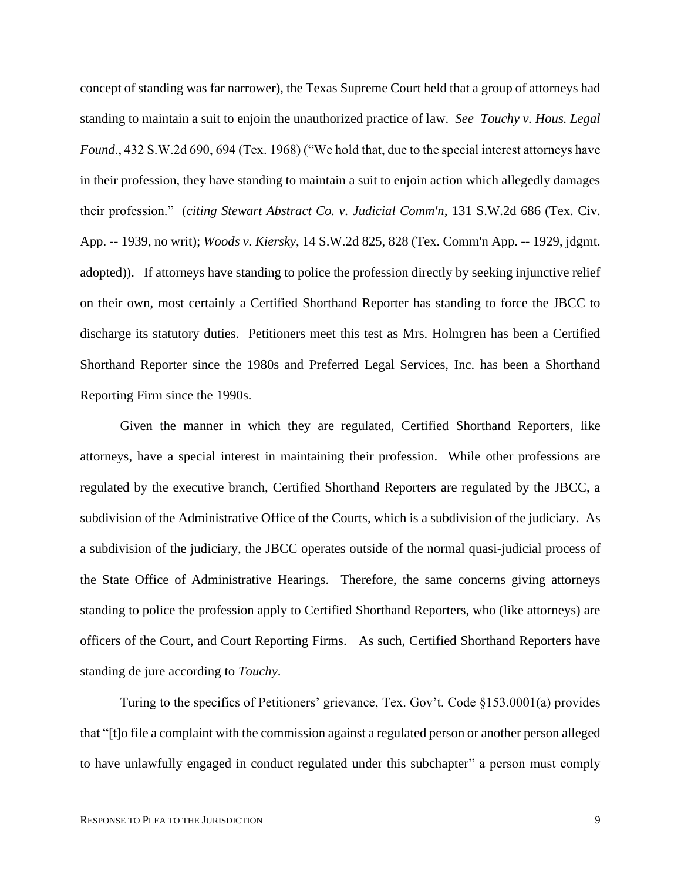concept of standing was far narrower), the Texas Supreme Court held that a group of attorneys had standing to maintain a suit to enjoin the unauthorized practice of law. *See Touchy v. Hous. Legal Found*., 432 S.W.2d 690, 694 (Tex. 1968) ("We hold that, due to the special interest attorneys have in their profession, they have standing to maintain a suit to enjoin action which allegedly damages their profession." (*citing Stewart Abstract Co. v. Judicial Comm'n*, 131 S.W.2d 686 (Tex. Civ. App. -- 1939, no writ); *Woods v. Kiersky*, 14 S.W.2d 825, 828 (Tex. Comm'n App. -- 1929, jdgmt. adopted)). If attorneys have standing to police the profession directly by seeking injunctive relief on their own, most certainly a Certified Shorthand Reporter has standing to force the JBCC to discharge its statutory duties. Petitioners meet this test as Mrs. Holmgren has been a Certified Shorthand Reporter since the 1980s and Preferred Legal Services, Inc. has been a Shorthand Reporting Firm since the 1990s.

Given the manner in which they are regulated, Certified Shorthand Reporters, like attorneys, have a special interest in maintaining their profession. While other professions are regulated by the executive branch, Certified Shorthand Reporters are regulated by the JBCC, a subdivision of the Administrative Office of the Courts, which is a subdivision of the judiciary. As a subdivision of the judiciary, the JBCC operates outside of the normal quasi-judicial process of the State Office of Administrative Hearings. Therefore, the same concerns giving attorneys standing to police the profession apply to Certified Shorthand Reporters, who (like attorneys) are officers of the Court, and Court Reporting Firms. As such, Certified Shorthand Reporters have standing de jure according to *Touchy*.

Turing to the specifics of Petitioners' grievance, Tex. Gov't. Code §153.0001(a) provides that "[t]o file a complaint with the commission against a regulated person or another person alleged to have unlawfully engaged in conduct regulated under this subchapter" a person must comply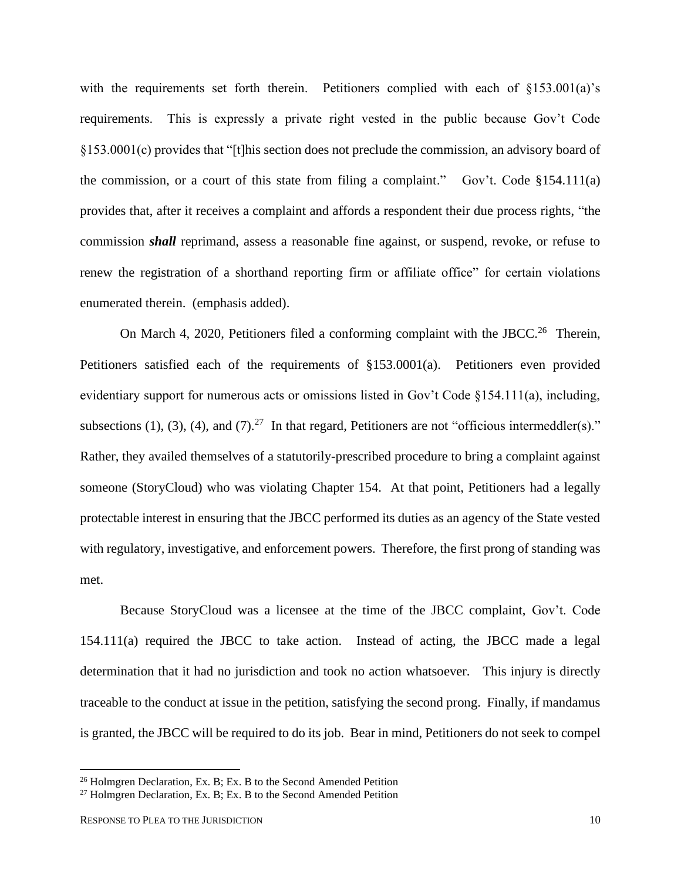with the requirements set forth therein. Petitioners complied with each of §153.001(a)'s requirements. This is expressly a private right vested in the public because Gov't Code §153.0001(c) provides that "[t]his section does not preclude the commission, an advisory board of the commission, or a court of this state from filing a complaint." Gov't. Code  $$154.111(a)$ provides that, after it receives a complaint and affords a respondent their due process rights, "the commission *shall* reprimand, assess a reasonable fine against, or suspend, revoke, or refuse to renew the registration of a shorthand reporting firm or affiliate office" for certain violations enumerated therein. (emphasis added).

On March 4, 2020, Petitioners filed a conforming complaint with the JBCC.<sup>26</sup> Therein, Petitioners satisfied each of the requirements of §153.0001(a). Petitioners even provided evidentiary support for numerous acts or omissions listed in Gov't Code §154.111(a), including, subsections (1), (3), (4), and (7).<sup>27</sup> In that regard, Petitioners are not "officious intermeddler(s)." Rather, they availed themselves of a statutorily-prescribed procedure to bring a complaint against someone (StoryCloud) who was violating Chapter 154. At that point, Petitioners had a legally protectable interest in ensuring that the JBCC performed its duties as an agency of the State vested with regulatory, investigative, and enforcement powers. Therefore, the first prong of standing was met.

Because StoryCloud was a licensee at the time of the JBCC complaint, Gov't. Code 154.111(a) required the JBCC to take action. Instead of acting, the JBCC made a legal determination that it had no jurisdiction and took no action whatsoever. This injury is directly traceable to the conduct at issue in the petition, satisfying the second prong. Finally, if mandamus is granted, the JBCC will be required to do its job. Bear in mind, Petitioners do not seek to compel

<sup>&</sup>lt;sup>26</sup> Holmgren Declaration, Ex. B; Ex. B to the Second Amended Petition

<sup>&</sup>lt;sup>27</sup> Holmgren Declaration, Ex. B; Ex. B to the Second Amended Petition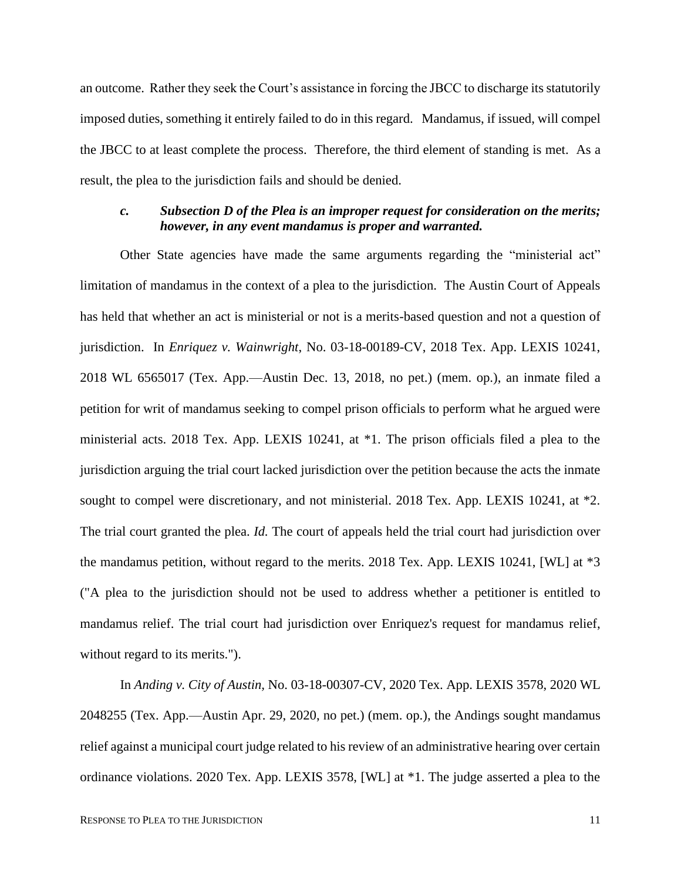an outcome. Rather they seek the Court's assistance in forcing the JBCC to discharge its statutorily imposed duties, something it entirely failed to do in this regard. Mandamus, if issued, will compel the JBCC to at least complete the process. Therefore, the third element of standing is met. As a result, the plea to the jurisdiction fails and should be denied.

## *c. Subsection D of the Plea is an improper request for consideration on the merits; however, in any event mandamus is proper and warranted.*

Other State agencies have made the same arguments regarding the "ministerial act" limitation of mandamus in the context of a plea to the jurisdiction. The Austin Court of Appeals has held that whether an act is ministerial or not is a merits-based question and not a question of jurisdiction. In *Enriquez v. Wainwright*, No. 03-18-00189-CV, 2018 Tex. App. LEXIS 10241, 2018 WL 6565017 (Tex. App.—Austin Dec. 13, 2018, no pet.) (mem. op.), an inmate filed a petition for writ of mandamus seeking to compel prison officials to perform what he argued were ministerial acts. 2018 Tex. App. LEXIS 10241, at \*1. The prison officials filed a plea to the jurisdiction arguing the trial court lacked jurisdiction over the petition because the acts the inmate sought to compel were discretionary, and not ministerial. 2018 Tex. App. LEXIS 10241, at \*2. The trial court granted the plea. *Id.* The court of appeals held the trial court had jurisdiction over the mandamus petition, without regard to the merits. 2018 Tex. App. LEXIS 10241, [WL] at \*3 ("A plea to the jurisdiction should not be used to address whether a petitioner is entitled to mandamus relief. The trial court had jurisdiction over Enriquez's request for mandamus relief, without regard to its merits.").

In *Anding v. City of Austin,* No. 03-18-00307-CV, 2020 Tex. App. LEXIS 3578, 2020 WL 2048255 (Tex. App.—Austin Apr. 29, 2020, no pet.) (mem. op.), the Andings sought mandamus relief against a municipal court judge related to his review of an administrative hearing over certain ordinance violations. 2020 Tex. App. LEXIS 3578, [WL] at \*1. The judge asserted a plea to the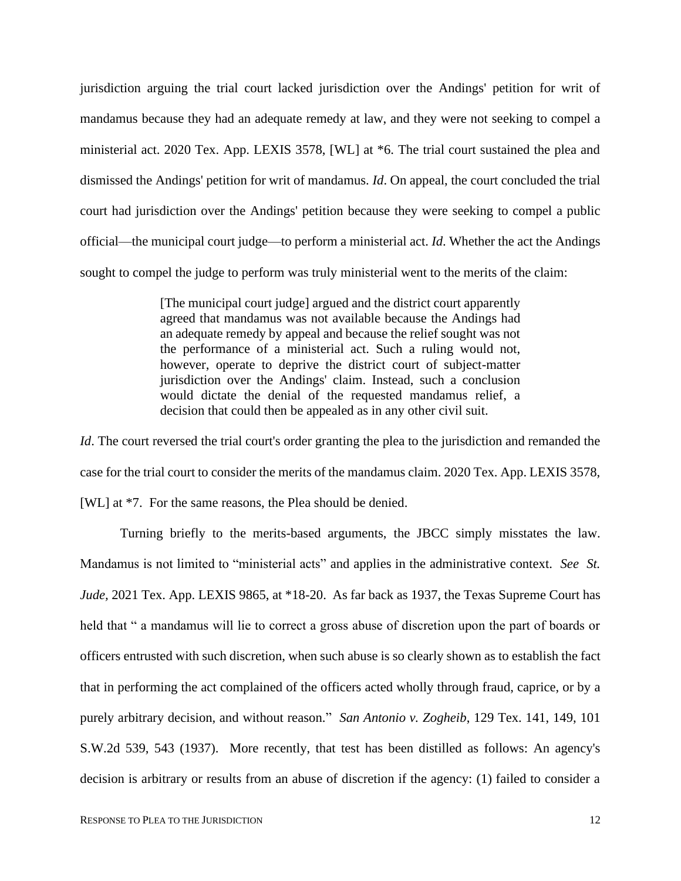jurisdiction arguing the trial court lacked jurisdiction over the Andings' petition for writ of mandamus because they had an adequate remedy at law, and they were not seeking to compel a ministerial act. 2020 Tex. App. LEXIS 3578, [WL] at \*6. The trial court sustained the plea and dismissed the Andings' petition for writ of mandamus. *Id*. On appeal, the court concluded the trial court had jurisdiction over the Andings' petition because they were seeking to compel a public official—the municipal court judge—to perform a ministerial act. *Id*. Whether the act the Andings sought to compel the judge to perform was truly ministerial went to the merits of the claim:

> [The municipal court judge] argued and the district court apparently agreed that mandamus was not available because the Andings had an adequate remedy by appeal and because the relief sought was not the performance of a ministerial act. Such a ruling would not, however, operate to deprive the district court of subject-matter jurisdiction over the Andings' claim. Instead, such a conclusion would dictate the denial of the requested mandamus relief, a decision that could then be appealed as in any other civil suit.

*Id*. The court reversed the trial court's order granting the plea to the jurisdiction and remanded the case for the trial court to consider the merits of the mandamus claim. 2020 Tex. App. LEXIS 3578, [WL] at \*7. For the same reasons, the Plea should be denied.

Turning briefly to the merits-based arguments, the JBCC simply misstates the law. Mandamus is not limited to "ministerial acts" and applies in the administrative context. *See St. Jude,* 2021 Tex. App. LEXIS 9865, at \*18-20. As far back as 1937, the Texas Supreme Court has held that " a mandamus will lie to correct a gross abuse of discretion upon the part of boards or officers entrusted with such discretion, when such abuse is so clearly shown as to establish the fact that in performing the act complained of the officers acted wholly through fraud, caprice, or by a purely arbitrary decision, and without reason." *San Antonio v. Zogheib*, 129 Tex. 141, 149, 101 S.W.2d 539, 543 (1937). More recently, that test has been distilled as follows: An agency's decision is arbitrary or results from an abuse of discretion if the agency: (1) failed to consider a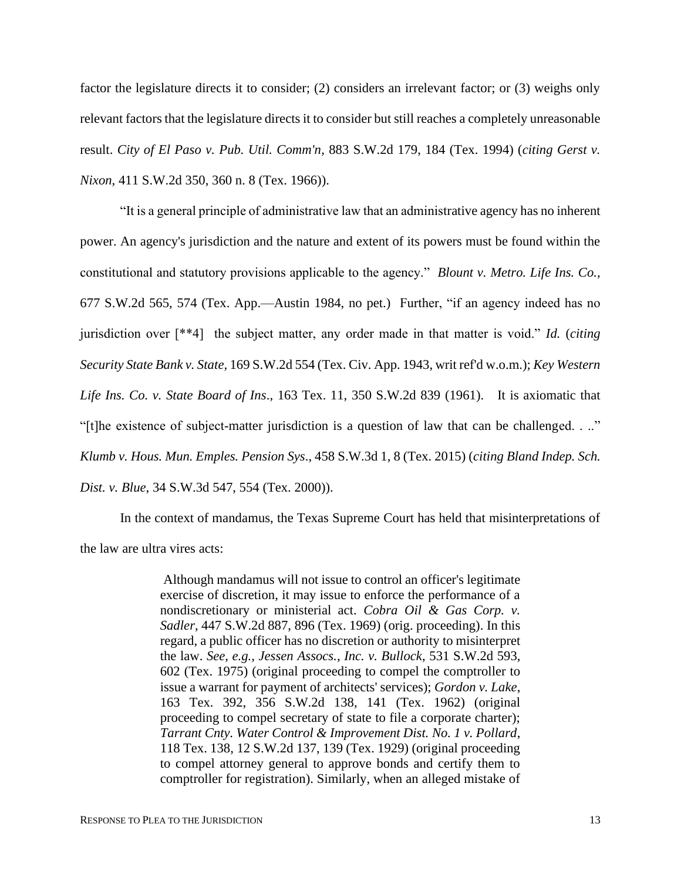factor the legislature directs it to consider; (2) considers an irrelevant factor; or (3) weighs only relevant factors that the legislature directs it to consider but still reaches a completely unreasonable result. *City of El Paso v. Pub. Util. Comm'n*, 883 S.W.2d 179, 184 (Tex. 1994) (*citing Gerst v. Nixon*, 411 S.W.2d 350, 360 n. 8 (Tex. 1966)).

"It is a general principle of administrative law that an administrative agency has no inherent power. An agency's jurisdiction and the nature and extent of its powers must be found within the constitutional and statutory provisions applicable to the agency." *Blount v. Metro. Life Ins. Co.,* 677 S.W.2d 565, 574 (Tex. App.—Austin 1984, no pet.) Further, "if an agency indeed has no jurisdiction over [\*\*4] the subject matter, any order made in that matter is void." *Id.* (*citing Security State Bank v. State,* 169 S.W.2d 554 (Tex. Civ. App. 1943, writ ref'd w.o.m.); *Key Western Life Ins. Co. v. State Board of Ins*., 163 Tex. 11, 350 S.W.2d 839 (1961). It is axiomatic that "[t]he existence of subject-matter jurisdiction is a question of law that can be challenged. . .." *Klumb v. Hous. Mun. Emples. Pension Sys*., 458 S.W.3d 1, 8 (Tex. 2015) (*citing Bland Indep. Sch. Dist. v. Blue*, 34 S.W.3d 547, 554 (Tex. 2000)).

In the context of mandamus, the Texas Supreme Court has held that misinterpretations of the law are ultra vires acts:

> Although mandamus will not issue to control an officer's legitimate exercise of discretion, it may issue to enforce the performance of a nondiscretionary or ministerial act. *Cobra Oil & Gas Corp. v. Sadler*, 447 S.W.2d 887, 896 (Tex. 1969) (orig. proceeding). In this regard, a public officer has no discretion or authority to misinterpret the law. *See, e.g., Jessen Assocs., Inc. v. Bullock*, 531 S.W.2d 593, 602 (Tex. 1975) (original proceeding to compel the comptroller to issue a warrant for payment of architects' services); *Gordon v. Lake*, 163 Tex. 392, 356 S.W.2d 138, 141 (Tex. 1962) (original proceeding to compel secretary of state to file a corporate charter); *Tarrant Cnty. Water Control & Improvement Dist. No. 1 v. Pollard*, 118 Tex. 138, 12 S.W.2d 137, 139 (Tex. 1929) (original proceeding to compel attorney general to approve bonds and certify them to comptroller for registration). Similarly, when an alleged mistake of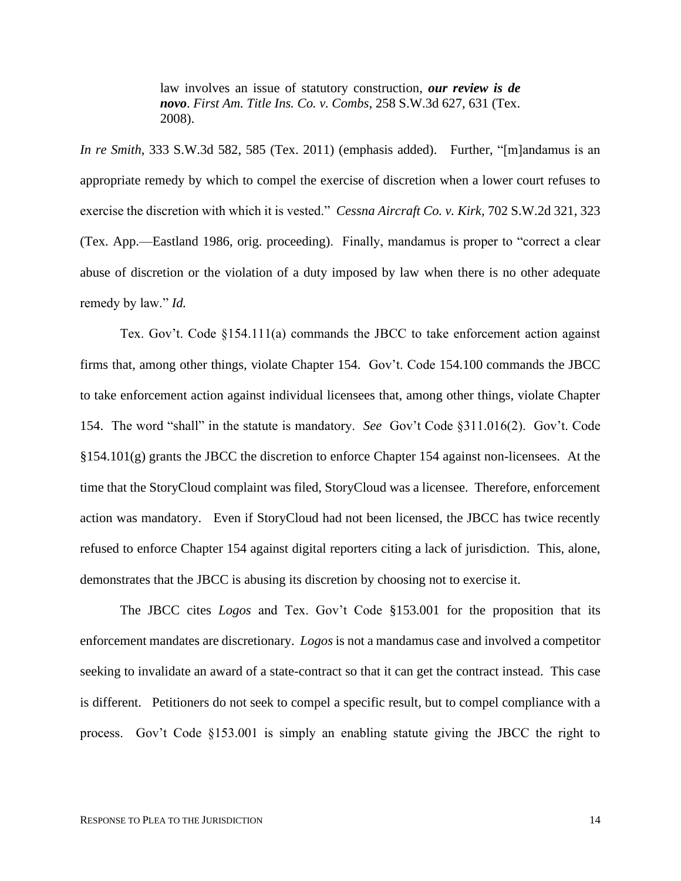law involves an issue of statutory construction, *our review is de novo*. *First Am. Title Ins. Co. v. Combs*, 258 S.W.3d 627, 631 (Tex. 2008).

*In re Smith*, 333 S.W.3d 582, 585 (Tex. 2011) (emphasis added). Further, "[m]andamus is an appropriate remedy by which to compel the exercise of discretion when a lower court refuses to exercise the discretion with which it is vested." *Cessna Aircraft Co. v. Kirk,* 702 S.W.2d 321, 323 (Tex. App.—Eastland 1986, orig. proceeding). Finally, mandamus is proper to "correct a clear abuse of discretion or the violation of a duty imposed by law when there is no other adequate remedy by law." *Id.* 

Tex. Gov't. Code §154.111(a) commands the JBCC to take enforcement action against firms that, among other things, violate Chapter 154. Gov't. Code 154.100 commands the JBCC to take enforcement action against individual licensees that, among other things, violate Chapter 154. The word "shall" in the statute is mandatory. *See* Gov't Code §311.016(2). Gov't. Code §154.101(g) grants the JBCC the discretion to enforce Chapter 154 against non-licensees. At the time that the StoryCloud complaint was filed, StoryCloud was a licensee. Therefore, enforcement action was mandatory. Even if StoryCloud had not been licensed, the JBCC has twice recently refused to enforce Chapter 154 against digital reporters citing a lack of jurisdiction. This, alone, demonstrates that the JBCC is abusing its discretion by choosing not to exercise it.

The JBCC cites *Logos* and Tex. Gov't Code §153.001 for the proposition that its enforcement mandates are discretionary. *Logos* is not a mandamus case and involved a competitor seeking to invalidate an award of a state-contract so that it can get the contract instead. This case is different. Petitioners do not seek to compel a specific result, but to compel compliance with a process. Gov't Code §153.001 is simply an enabling statute giving the JBCC the right to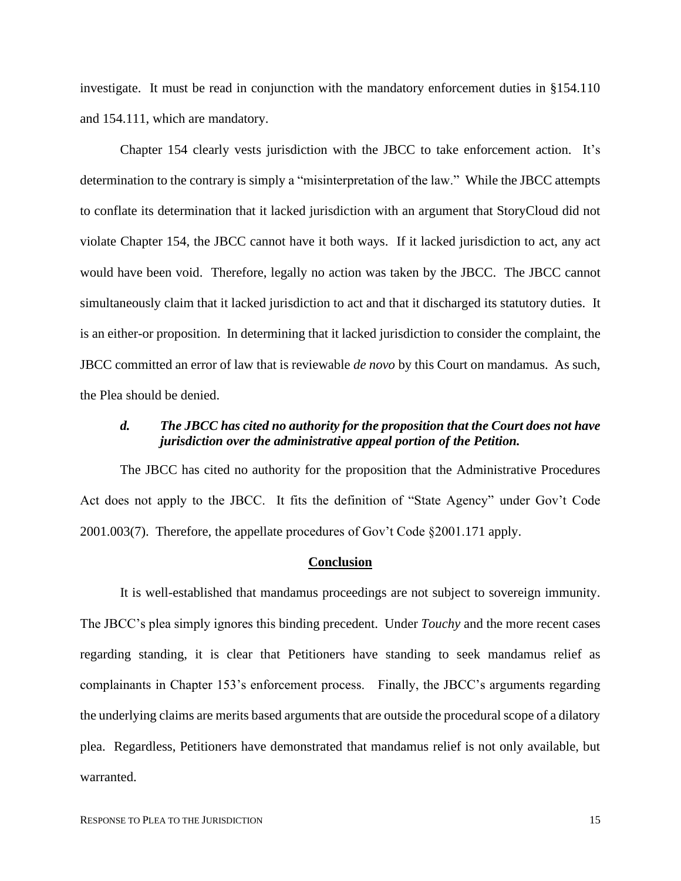investigate. It must be read in conjunction with the mandatory enforcement duties in §154.110 and 154.111, which are mandatory.

Chapter 154 clearly vests jurisdiction with the JBCC to take enforcement action. It's determination to the contrary is simply a "misinterpretation of the law." While the JBCC attempts to conflate its determination that it lacked jurisdiction with an argument that StoryCloud did not violate Chapter 154, the JBCC cannot have it both ways. If it lacked jurisdiction to act, any act would have been void. Therefore, legally no action was taken by the JBCC. The JBCC cannot simultaneously claim that it lacked jurisdiction to act and that it discharged its statutory duties. It is an either-or proposition. In determining that it lacked jurisdiction to consider the complaint, the JBCC committed an error of law that is reviewable *de novo* by this Court on mandamus. As such, the Plea should be denied.

### *d. The JBCC has cited no authority for the proposition that the Court does not have jurisdiction over the administrative appeal portion of the Petition.*

The JBCC has cited no authority for the proposition that the Administrative Procedures Act does not apply to the JBCC. It fits the definition of "State Agency" under Gov't Code 2001.003(7). Therefore, the appellate procedures of Gov't Code §2001.171 apply.

#### **Conclusion**

It is well-established that mandamus proceedings are not subject to sovereign immunity. The JBCC's plea simply ignores this binding precedent. Under *Touchy* and the more recent cases regarding standing, it is clear that Petitioners have standing to seek mandamus relief as complainants in Chapter 153's enforcement process. Finally, the JBCC's arguments regarding the underlying claims are merits based arguments that are outside the procedural scope of a dilatory plea. Regardless, Petitioners have demonstrated that mandamus relief is not only available, but warranted.